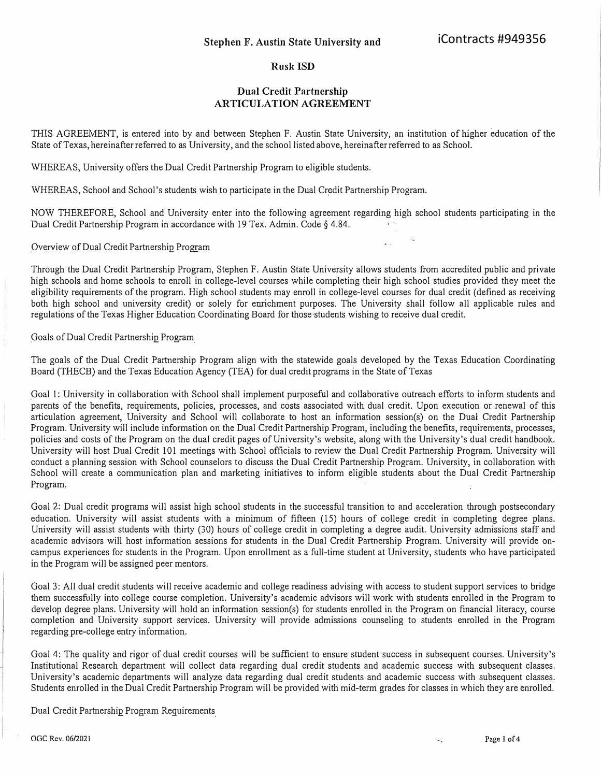## **Rusk ISD**

## **Dual Credit Partnership ARTICULATION AGREEMENT**

THIS AGREEMENT, is entered into by and between Stephen F. Austin State University, an institution of higher education of the State of Texas, hereinafter refened to as University, and the school listed above, hereinafter refened to as School.

WHEREAS, University offers the Dual Credit Partnership Program to eligible students.

WHEREAS, School and School's students wish to participate in the Dual Credit Partnership Program.

NOW THEREFORE, School and University enter into the following agreement regarding high school students participating in the Dual Credit Partnership Program in accordance with 19 Tex. Admin. Code § 4.84.

Overview of Dual Credit Partnership Program

Through the Dual Credit Partnership Program, Stephen F. Austin State University allows students from accredited public and private high schools and home schools to enroll in college-level courses while completing their high school studies provided they meet the eligibility requirements of the program. High school students may enroll in college-level courses for dual credit ( defined as receiving both high school and university credit) or solely for enrichment purposes. The University shall follow all applicable rules and regulations of the Texas Higher Education Coordinating Board for those students wishing to receive dual credit.

Goals of Dual Credit Partnership Program

The goals of the Dual Credit Partnership Program align with the statewide goals developed by the Texas Education Coordinating Board (THECB) and the Texas Education Agency (TEA) for dual credit programs in the State of Texas

Goal 1: University in collaboration with School shall implement purposeful and collaborative outreach efforts to inform students and parents of the benefits, requirements, policies, processes, and costs associated with dual credit. Upon execution or renewal of this articulation agreement, University and School will collaborate to host an information session(s) on the Dual Credit Partnership Program. University will include information on the Dual Credit Partnership Program, including the benefits, requirements, processes, policies and costs of the Program on the dual credit pages of University's website, along with the University's dual credit handbook. University will host Dual Credit 101 meetings with School officials to review the Dual Credit Partnership Program. University will conduct a planning session with School counselors to discuss the Dual Credit Partnership Program. University, in collaboration with School will create a communication plan and marketing initiatives to inform eligible students about the Dual Credit Partnership Program.

Goal 2: Dual credit programs will assist high school students in the successful transition to and acceleration through postsecondary education. University will assist students with a minimum of fifteen (15) hours of college credit in completing degree plans. University will assist students with thirty (30) hours of college credit in completing a degree audit. University admissions staff and academic advisors will host information sessions for students in the Dual Credit Partnership Program. University will provide oncampus experiences for students in the Program. Upon enrollment as a full-time student at University, students who have participated in the Program will be assigned peer mentors.

Goal 3: All dual credit students will receive academic and college readiness advising with access to student support services to bridge them successfully into college course completion. University's academic advisors will work with students enrolled in the Program to develop degree plans. University will hold an information session(s) for students enrolled in the Program on financial literacy, course completion and University support services. University will provide admissions counseling to students enrolled in the Program regarding pre-college entry information.

Goal 4: The quality and rigor of dual credit courses will be sufficient to ensure student success in subsequent courses. University's Institutional Research department will collect data regarding dual credit students and academic success with subsequent classes. University's academic departments will analyze data regarding dual credit students and academic success with subsequent classes. Students enrolled in the Dual Credit Partnership Program will be provided with mid-term grades for classes in which they are enrolled.

Dual Credit Partnership Program Requirements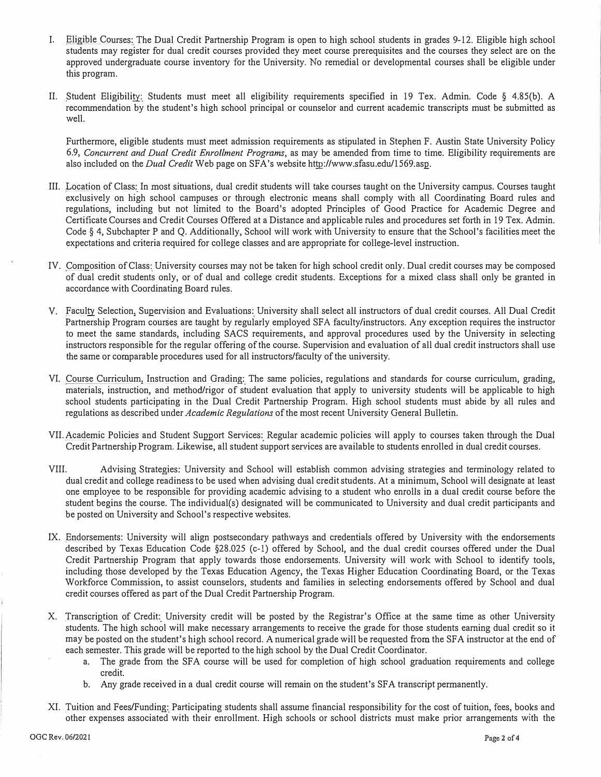- I. Eligible Courses: The Dual Credit Partnership Program is open to high school students in grades 9-12. Eligible high school st*u*dents may register for dual credit courses provided they meet course prerequisites and the courses they select are on the approved undergraduate course inventory for the Universi*t*y. No remedial or developmental courses shall be eligible under this program.
- II. *S*tudent Eligibility: *S*tudents must meet all eligibility requirements specified in 19 Tex. Admin. Code § 4.85(b). A recommendation by the student's high school principal or counselor and current academic transcripts must be submitted as well.

Furthermore, eligible students must meet admission requirements as stipulated in *S*tephen F. Austin *S*tate University Policy 6.9, *Concurrent and Dual Credit Enrollment Programs,* as may be amended from time to time. Eligibility requirements are also included on the *Dual Credit* Web page on *S*FA's website http://www.sfasu.edu/1569.asp.

- III. Location of Class: In most situations, dual credit students will take courses taught on the University campus. Courses taught exclusively on high school campuses or through electronic means shall comply with all Coordinating Board r*u*les and regulations, including but not limited to the Board's adopted Principles of Good Practice for Academic Degree and Certificate Courses and Credit Courses Offered at a Distance and applicable mies and procedures set forth in 19 Tex. Admin. Code § 4, *S*ubchapter P and Q. Additionally, *S*chool will work with University to ensure that the *S*chool's facilities meet the expectations and criteria required for college classes and are appropriate for college-level instrnction.
- IV. Composition of Class: University courses may not be taken for high school credit only. Dual credit courses may be composed of dual credit students only, or of dual and college credit students. Exceptions for a mixed class shall only be granted in accordance with Coordinating Board rules.
- V. Faculty *S*election, *S*upervision and Evaluations: University shall select all instr*u*ctors of dual credit courses. All Dual Credit Partnership Program courses are taught by regularly employed SFA faculty/instructors. Any exception requires the instructor to meet the same standards, including *S*AC*S* requirements, and approval procedures used by the Universi*t*y in selecting instr*u*ctors responsible for the regular offering of the course. *S*upervision and evaluation of all dual credit instr*u*ctors shall use the same or comparable procedures used for all instructors/faculty of the universi*t*y.
- VI. Course Curriculum, Instr*u*ction and Grading: The same policies, regulations and standards for course curriculum, grading, materials, instr*u*ction, and method/rigor of student evaluation that apply to university students will be applicable to high school students participating in the Dual Credit Partnership Program. High school students must abide by all rules and regulations as described under *Academic Regulations* of the most recent Universi*t*y General Bulletin.
- VII. Academic Policies and *S*tudent *S*upport *S*ervices: Regular academic policies will apply to courses taken through the Dual Credit Partnership Program. Likewise, all st*u*dent support services are available to students enrolled in dual credit courses.
- VIII. Advising *S*trategies: University and *S*chool will establish common advising strategies and terminology related to dual credit and college readiness to be used when advising dual credit students. At a minimum, *S*chool will designate at least one employee to be responsible for providing academic advising to a student who enrolls in a dual credit course before the student begins the course. The individual(s) designated will be communicated to Universi*t*y and dual credit participants and be posted on Universi*t*y and *S*chool's respective websites.
- IX. Endorsements: University will align postsecondary pathways and credentials offered by University with the endorsements described by Texas Education Code §28.025 (c-1) offered by *S*chool, and the dual credit courses offered under the Dual Credit Partnership Program that apply towards those endorsements. University will work with *S*chool to identify tools, including those developed by the Texas Education Agency, the Texas Higher Education Coordinating Board, or the Texas Workforce Commission, to assist counselors, st*u*dents and families in selecting endorsements offered by *S*chool and dual credit courses offered as part of the Dual Credit Partnership Program.
- X. Transcription of Credit: University credit will be posted by the Registrar's Office at the same time as other University students. The high school will make necessary arrangements to receive the grade for those st*u*dents earning dual credit so it may be posted on the st*u*dent's high school record. A numerical grade will be requested from the *S*FA instructor at the end of each semester. This grade will be reported to the high school by the Dual Credit Coordinator.
	- a. The grade from the *S*FA course will be used for completion of high school graduation requirements and college credit.
	- b. Any grade received in a dual credit course will remain on the student's *S*FA transcript permanently.
- XI. Tuition and Fees/Funding: Participating st*u*dents shall assume financial responsibility for the cost of tuition, fees, books and other expenses associated with their enrollment. High schools or school districts must make prior arrangements with the